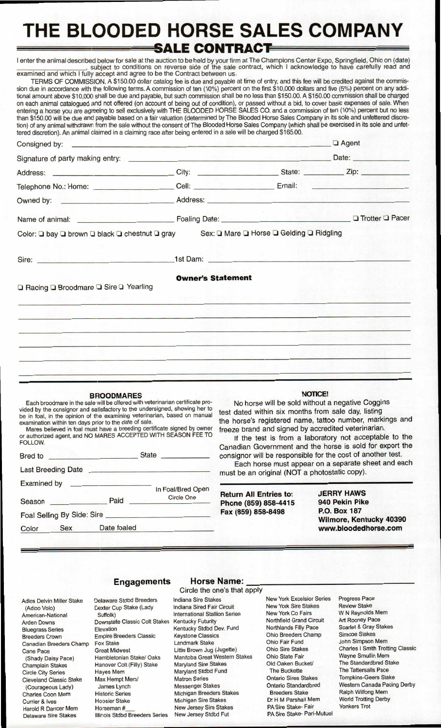# **THE BLOODED HORSE SALES COMPANY SALE CONTRACT**

enter the animal described below for sale at the auction to be held by your firm at The Champions Center Expo, Springfield, Ohio on (date)<br>subject to conditions on reverse side of the sale contract, which I acknowledge to examined and which I fully accept and agree to be the Contract between us.

TERMS OF COMMISSION. A \$150.00 dollar catalog fee is due and payable at time of entry, and this fee will be credited against the commission due in accordance with the following terms. A commission of ten (10%) percent on the first \$10,000 dollars and five (5%) percent on any additional amount above \$10,000 shall be due and payable, but such commission shall be no less than \$150.00. A \$150.00 commission shall be charged on each animal catalogued and not offered (on account of being out of condition), or passed without a bid, to cover basic expenses of sale. When entering a horse you are agreeing to sell exclusively with THE BLOODED HORSE SALES CO. and a commission of ten (10%) percent but no less than \$150.00 will be due and payable based on a fair valuation (determined by The Blooded Horse Sales Company in its sole and unfettered discretion) of any animal withdrawn from the sale without the consent of The Blooded Horse Sales Company (which shall be exercised in its sole and unfettered discretion). An animal claimed in a claiming race after being entered in a sale will be charged \$165.00.

|                                                                                                                                                                                                                               |                          | $\Box$ Agent |  |  |
|-------------------------------------------------------------------------------------------------------------------------------------------------------------------------------------------------------------------------------|--------------------------|--------------|--|--|
|                                                                                                                                                                                                                               |                          |              |  |  |
|                                                                                                                                                                                                                               |                          |              |  |  |
| Telephone No.: Home: ____________________Cell: _________________________Email: _____________________                                                                                                                          |                          |              |  |  |
| Owned by: example and a Address: Address: Address: Address: Address: Address: Address: Address: Address: Address: Address: Address: Address: Address: Address: Address: Address: Address: Address: Address: Address: Address: |                          |              |  |  |
| Name of animal: <b>Name of animal: Pacer Pacer Pacer Pacer Pacer Pacer Pacer Pacer Pacer Pacer Pacer Pacer Pacer Pacer Pacer Pacer Pacer Pacer Pacer Pacer Pacer</b>                                                          |                          |              |  |  |
| Color: Q bay Q brown Q black Q chestnut Q gray Sex: Q Mare Q Horse Q Gelding Q Ridgling                                                                                                                                       |                          |              |  |  |
| Sire: <u>All Barrell and Barrell and Barrell and Barrell</u>                                                                                                                                                                  |                          |              |  |  |
| □ Racing □ Broodmare □ Sire □ Yearling                                                                                                                                                                                        | <b>Owner's Statement</b> |              |  |  |
|                                                                                                                                                                                                                               |                          |              |  |  |
|                                                                                                                                                                                                                               |                          |              |  |  |
|                                                                                                                                                                                                                               |                          |              |  |  |
|                                                                                                                                                                                                                               |                          |              |  |  |
|                                                                                                                                                                                                                               |                          |              |  |  |

#### **BROODMARES**

Each broodmare in the sale will be offered with veterinarian certificate provided by the consignor and satisfactory to the undersigned, showing her to be in foal, in the opinion of the examining veterinarian, based on manual examination within ten days prior to the date of sale.

Mares believed in foal must have a breeding certificate signed by owner or authorized agent, and NO MARES ACCEPTED WITH SEASON FEE TO FOLLOW.

| <b>Bred</b> to                                | <b>State</b><br><u>all saidhean anns an </u> |                   |
|-----------------------------------------------|----------------------------------------------|-------------------|
| <b>Last Breeding Date</b>                     |                                              |                   |
| <b>Examined by</b><br><u> Dan Kampan Kamp</u> |                                              | In Foal/Bred Open |
| Season                                        | Paid                                         | <b>Circle One</b> |
| Foal Selling By Side: Sire                    |                                              |                   |
| <b>Sex</b><br>Color                           | Date foaled                                  |                   |

### **NOTICE!**

No horse will be sold without a negative Coggins test dated within six months from sale day, listing the horse's registered name, tattoo number, markings and freeze brand and signed by accredited veterinarian.

If the test is from a laboratory not acceptable to the Canadian Government and the horse is sold for export the consignor will be responsible for the cost of another test.

Each horse must appear on a separate sheet and each must be an original (NOT a photostatic copy).

**Return All Entries to: Phone (859) 858-4415 Fax (859) 858-8498** 

**JERRY HAWS 940 Pekin Pike P.O. Box 187 Wilmore, Kentucky 40390 www.bloodedhorse.com** 

#### Adios Delvin Miller Stake (Adioo Volo) American-National Arden Downs Bluegrass Series Breeders Crown Canadian Breeders Champ Cane Pace (Shady Daisy Pace) Champlain Stakes Circle City Series Cleveland Classic Stake (Courageous Lady) Charles Coon Mem Currier & Ives Harold R Dancer Mem Delaware Sire Stakes

Delaware Stdbd Breeders Dexter Cup Stake (Lady Suffolk) Downstate Classic Colt Stakes Elevation Empire Breeders Classic Fox Stake Great Midwest Hambletonian Stake/ Oaks Hanover Colt (Filly) Stake Hayes Mem Max Hempt Mem/ James Lynch Historic Series Hoosier Stake Horseman # Illinois Stdbd Breeders Series

### **Engagements Horse Name:**  Circle the one's that apply

Indiana Sire Stakes Indiana Sired Fair Circuit International Stallion Series Kentucky Futurity Kentucky Stdbd Dev. Fund Keystone Classics Landmark Stake Little Brown Jug (Jugette) Manitoba Great Western Stakes Maryland Sire Stakes Maryland Stdbd Fund Matron Series Messenger Stakes Michigan Breeders Stakes Michigan Sire Stakes New Jersey Sire Stakes New Jersey Stdbd Fut

New York Excelsior Series New York Sire Stakes New York Co Fairs Northfield Grand Circuit Northlands Filly Pace Ohio Breeders Champ Ohio Fair Fund Ohio Sire Stakes Ohio State Fair Old Oaken Bucket/ The Buckette Ontario Sires Stakes Ontario Standardbred Breeders Stake Dr H M Parshall Mem PA Sire Stake- Fair PA Sire Stake- Pari-Mutuel Progress Pace Review Stake W N Reynolds Mem Art Rooney Pace Scarlet & Gray Stakes Simcoe Stakes John Simpson Mem Charles I Smith Trotting Classic Wayne Smullin Mem The Standardbred Stake The Tattersalls Pace Tompkins-Geers Stake Western Canada Pacing Derby Ralph Wilfong Mem World Trotting Derby Yonkers Trot